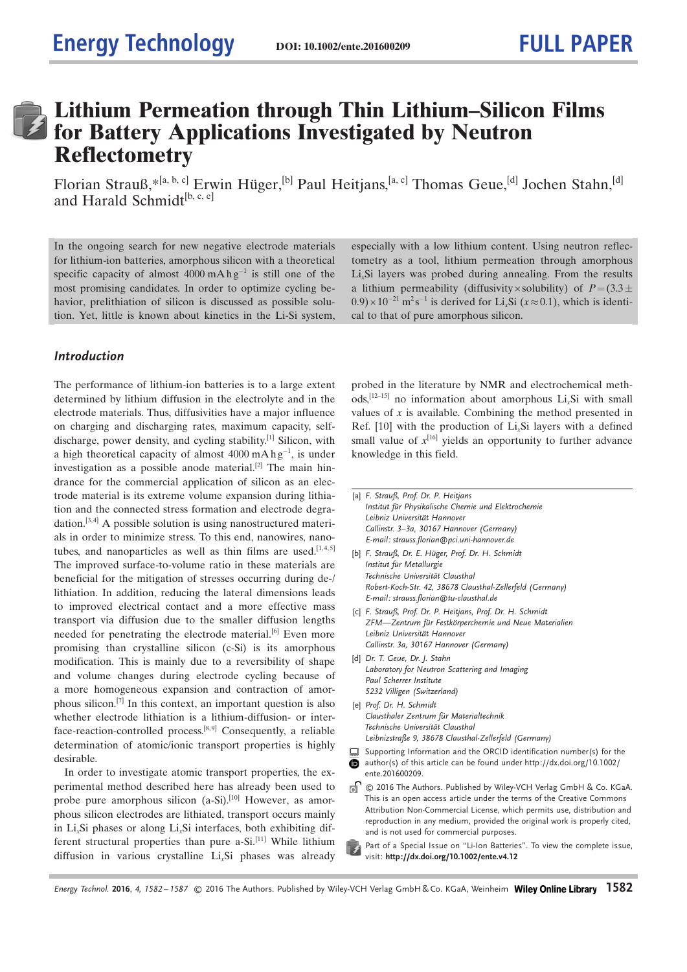### Lithium Permeation through Thin Lithium–Silicon Films for Battery Applications Investigated by Neutron **Reflectometry**

Florian Strauß, \*<sup>[a, b, c]</sup> Erwin Hüger,<sup>[b]</sup> Paul Heitjans,<sup>[a, c]</sup> Thomas Geue,<sup>[d]</sup> Jochen Stahn,<sup>[d]</sup> and Harald Schmidt<sup>[b, c, e]</sup>

In the ongoing search for new negative electrode materials for lithium-ion batteries, amorphous silicon with a theoretical specific capacity of almost  $4000 \text{ mA} \text{ h} \text{ g}^{-1}$  is still one of the most promising candidates. In order to optimize cycling behavior, prelithiation of silicon is discussed as possible solution. Yet, little is known about kinetics in the Li-Si system,

### Introduction

The performance of lithium-ion batteries is to a large extent determined by lithium diffusion in the electrolyte and in the electrode materials. Thus, diffusivities have a major influence on charging and discharging rates, maximum capacity, selfdischarge, power density, and cycling stability.<sup>[1]</sup> Silicon, with a high theoretical capacity of almost  $4000 \text{ mA} \text{ h} \text{ g}^{-1}$ , is under investigation as a possible anode material.<sup>[2]</sup> The main hindrance for the commercial application of silicon as an electrode material is its extreme volume expansion during lithiation and the connected stress formation and electrode degradation. [3,4] A possible solution is using nanostructured materials in order to minimize stress. To this end, nanowires, nanotubes, and nanoparticles as well as thin films are used. $[1,4,5]$ The improved surface-to-volume ratio in these materials are beneficial for the mitigation of stresses occurring during de-/ lithiation. In addition, reducing the lateral dimensions leads to improved electrical contact and a more effective mass transport via diffusion due to the smaller diffusion lengths needed for penetrating the electrode material.<sup>[6]</sup> Even more promising than crystalline silicon (c-Si) is its amorphous modification. This is mainly due to a reversibility of shape and volume changes during electrode cycling because of a more homogeneous expansion and contraction of amorphous silicon.[7] In this context, an important question is also whether electrode lithiation is a lithium-diffusion- or interface-reaction-controlled process.<sup>[8,9]</sup> Consequently, a reliable determination of atomic/ionic transport properties is highly desirable.

In order to investigate atomic transport properties, the experimental method described here has already been used to probe pure amorphous silicon  $(a-Si)$ .<sup>[10]</sup> However, as amorphous silicon electrodes are lithiated, transport occurs mainly in Li<sub>v</sub>Si phases or along Li<sub>v</sub>Si interfaces, both exhibiting different structural properties than pure a-Si.<sup>[11]</sup> While lithium diffusion in various crystalline  $Li<sub>x</sub>Si$  phases was already

especially with a low lithium content. Using neutron reflectometry as a tool, lithium permeation through amorphous  $Li<sub>x</sub>Si$  layers was probed during annealing. From the results a lithium permeability (diffusivity  $\times$  solubility) of  $P=(3.3\pm$  $(0.9) \times 10^{-21}$  m<sup>2</sup>s<sup>-1</sup> is derived for Li<sub>x</sub>Si ( $x \approx 0.1$ ), which is identical to that of pure amorphous silicon.

probed in the literature by NMR and electrochemical methods,  $[12-15]$  no information about amorphous Li<sub>x</sub>Si with small values of  $x$  is available. Combining the method presented in Ref.  $[10]$  with the production of Li<sub>x</sub>Si layers with a defined small value of  $x^{[16]}$  yields an opportunity to further advance knowledge in this field.

- [a] F. Strauß, Prof. Dr. P. Heitjans Institut für Physikalische Chemie und Elektrochemie Leibniz Universität Hannover Callinstr. 3–3a, 30167 Hannover (Germany) E-mail: strauss.florian@pci.uni-hannover.de
- [b] F. Strauß, Dr. E. Hüger, Prof. Dr. H. Schmidt Institut für Metallurgie Technische Universität Clausthal Robert-Koch-Str. 42, 38678 Clausthal-Zellerfeld (Germany) E-mail: strauss.florian@tu-clausthal.de
- [c] F. Strauß, Prof. Dr. P. Heitjans, Prof. Dr. H. Schmidt ZFM-Zentrum für Festkörperchemie und Neue Materialien Leibniz Universität Hannover Callinstr. 3a, 30167 Hannover (Germany)
- [d] Dr. T. Geue, Dr. J. Stahn Laboratory for Neutron Scattering and Imaging Paul Scherrer Institute 5232 Villigen (Switzerland)
- [e] Prof. Dr. H. Schmidt Clausthaler Zentrum für Materialtechnik Technische Universität Clausthal Leibnizstraße 9, 38678 Clausthal-Zellerfeld (Germany)
- Supporting Information and the ORCID identification number(s) for the
- ❶ author(s) of this article can be found under [http://dx.doi.org/10.1002/](http://dx.doi.org/10.1002/ente.201600209) [ente.201600209](http://dx.doi.org/10.1002/ente.201600209).
- ெ © 2016 The Authors. Published by Wiley-VCH Verlag GmbH & Co. KGaA. This is an open access article under the terms of the Creative Commons Attribution Non-Commercial License, which permits use, distribution and reproduction in any medium, provided the original work is properly cited, and is not used for commercial purposes.
- Part of a Special Issue on "Li-Ion Batteries". To view the complete issue, visit: <http://dx.doi.org/10.1002/ente.v4.12>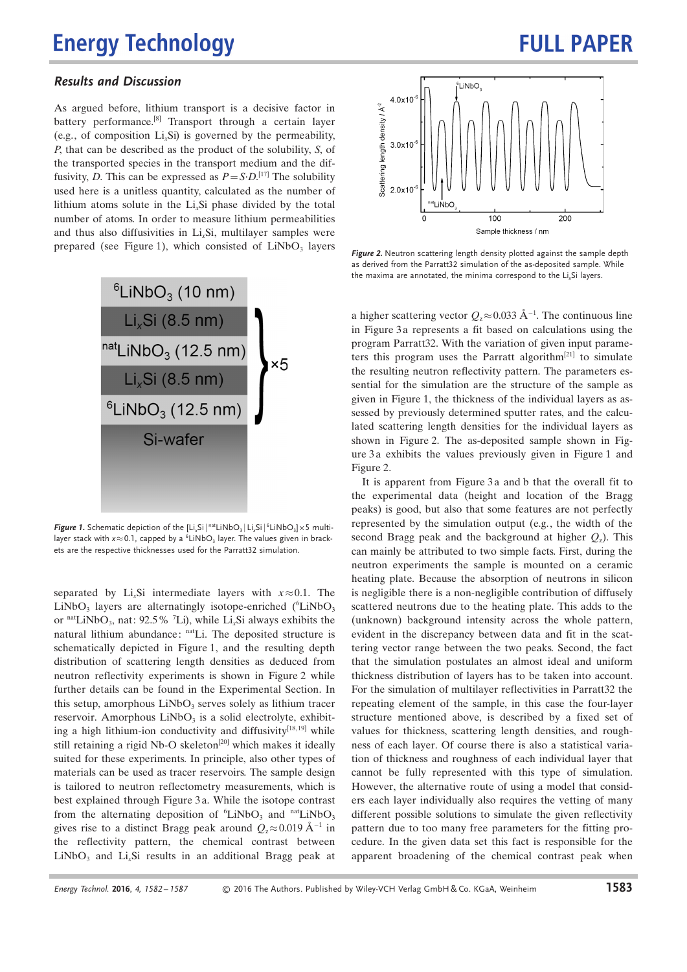## **FULL PAPER**

### Results and Discussion

As argued before, lithium transport is a decisive factor in battery performance.<sup>[8]</sup> Transport through a certain layer (e.g., of composition  $Li<sub>x</sub>Si$ ) is governed by the permeability, P, that can be described as the product of the solubility, S, of the transported species in the transport medium and the diffusivity, D. This can be expressed as  $P = S \cdot D$ .<sup>[17]</sup> The solubility used here is a unitless quantity, calculated as the number of lithium atoms solute in the  $Li<sub>x</sub>Si$  phase divided by the total number of atoms. In order to measure lithium permeabilities and thus also diffusivities in  $Li<sub>x</sub>Si$ , multilayer samples were prepared (see Figure 1), which consisted of  $LiNbO<sub>3</sub>$  layers



**Figure 1.** Schematic depiction of the  $[Li_xSi|^{nat}LiNbO_3|Li_xSi|^{6}LiNbO_3] \times 5$  multilayer stack with  $x \approx 0.1$ , capped by a  ${}^{6}$ LiNbO<sub>3</sub> layer. The values given in brackets are the respective thicknesses used for the Parratt32 simulation.

separated by Li<sub>x</sub>Si intermediate layers with  $x \approx 0.1$ . The  $LiNbO<sub>3</sub>$  layers are alternatingly isotope-enriched ( $^{6}LiNbO<sub>3</sub>$ or  $\text{natLiNbO}_3$ , nat: 92.5% <sup>7</sup>Li), while Li<sub>x</sub>Si always exhibits the natural lithium abundance: natLi. The deposited structure is schematically depicted in Figure 1, and the resulting depth distribution of scattering length densities as deduced from neutron reflectivity experiments is shown in Figure 2 while further details can be found in the Experimental Section. In this setup, amorphous  $LiNbO<sub>3</sub>$  serves solely as lithium tracer reservoir. Amorphous  $LiNbO<sub>3</sub>$  is a solid electrolyte, exhibiting a high lithium-ion conductivity and diffusivity<sup>[18,19]</sup> while still retaining a rigid Nb-O skeleton<sup>[20]</sup> which makes it ideally suited for these experiments. In principle, also other types of materials can be used as tracer reservoirs. The sample design is tailored to neutron reflectometry measurements, which is best explained through Figure 3 a. While the isotope contrast from the alternating deposition of  ${}^{6}$ LiNbO<sub>3</sub> and <sup>nat</sup>LiNbO<sub>3</sub> gives rise to a distinct Bragg peak around  $Q_z \approx 0.019 \text{ Å}^{-1}$  in the reflectivity pattern, the chemical contrast between  $LiNbO<sub>3</sub>$  and  $Li<sub>x</sub>Si$  results in an additional Bragg peak at



Figure 2. Neutron scattering length density plotted against the sample depth as derived from the Parratt32 simulation of the as-deposited sample. While the maxima are annotated, the minima correspond to the Li<sub>v</sub>Si layers.

a higher scattering vector  $Q_z \approx 0.033 \text{ Å}^{-1}$ . The continuous line in Figure 3 a represents a fit based on calculations using the program Parratt32. With the variation of given input parameters this program uses the Parratt algorithm $[21]$  to simulate the resulting neutron reflectivity pattern. The parameters essential for the simulation are the structure of the sample as given in Figure 1, the thickness of the individual layers as assessed by previously determined sputter rates, and the calculated scattering length densities for the individual layers as shown in Figure 2. The as-deposited sample shown in Figure 3 a exhibits the values previously given in Figure 1 and Figure 2.

It is apparent from Figure 3 a and b that the overall fit to the experimental data (height and location of the Bragg peaks) is good, but also that some features are not perfectly represented by the simulation output (e.g., the width of the second Bragg peak and the background at higher  $Q_z$ ). This can mainly be attributed to two simple facts. First, during the neutron experiments the sample is mounted on a ceramic heating plate. Because the absorption of neutrons in silicon is negligible there is a non-negligible contribution of diffusely scattered neutrons due to the heating plate. This adds to the (unknown) background intensity across the whole pattern, evident in the discrepancy between data and fit in the scattering vector range between the two peaks. Second, the fact that the simulation postulates an almost ideal and uniform thickness distribution of layers has to be taken into account. For the simulation of multilayer reflectivities in Parratt32 the repeating element of the sample, in this case the four-layer structure mentioned above, is described by a fixed set of values for thickness, scattering length densities, and roughness of each layer. Of course there is also a statistical variation of thickness and roughness of each individual layer that cannot be fully represented with this type of simulation. However, the alternative route of using a model that considers each layer individually also requires the vetting of many different possible solutions to simulate the given reflectivity pattern due to too many free parameters for the fitting procedure. In the given data set this fact is responsible for the apparent broadening of the chemical contrast peak when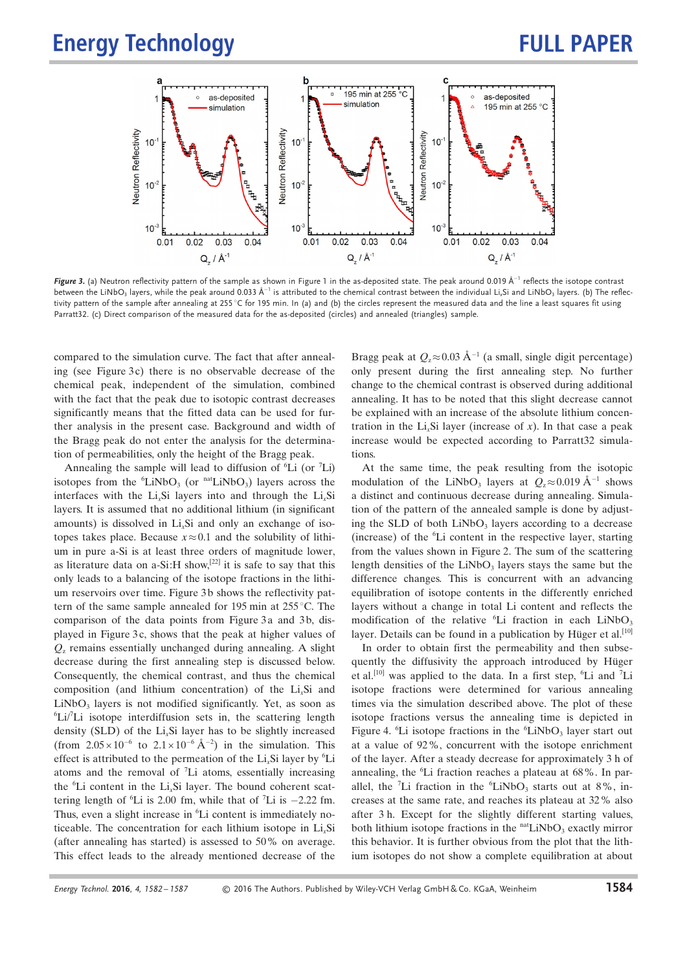

Figure 3. (a) Neutron reflectivity pattern of the sample as shown in Figure 1 in the as-deposited state. The peak around 0.019  $\rm \AA^{-1}$  reflects the isotope contrast between the LiNbO<sub>3</sub> layers, while the peak around 0.033 Å<sup>–1</sup> is attributed to the chemical contrast between the individual Li<sub>n</sub>Si and LiNbO<sub>3</sub> layers. (b) The reflectivity pattern of the sample after annealing at 255 $\degree$ C for 195 min. In (a) and (b) the circles represent the measured data and the line a least squares fit using Parratt32. (c) Direct comparison of the measured data for the as-deposited (circles) and annealed (triangles) sample.

compared to the simulation curve. The fact that after annealing (see Figure  $3c$ ) there is no observable decrease of the chemical peak, independent of the simulation, combined with the fact that the peak due to isotopic contrast decreases significantly means that the fitted data can be used for further analysis in the present case. Background and width of the Bragg peak do not enter the analysis for the determination of permeabilities, only the height of the Bragg peak.

Annealing the sample will lead to diffusion of  ${}^{6}Li$  (or  ${}^{7}Li$ ) isotopes from the  ${}^{6}$ LiNbO<sub>3</sub> (or  ${}^{nat}$ LiNbO<sub>3</sub>) layers across the interfaces with the Li<sub>x</sub>Si layers into and through the Li<sub>x</sub>Si layers. It is assumed that no additional lithium (in significant amounts) is dissolved in  $Li<sub>x</sub>Si$  and only an exchange of isotopes takes place. Because  $x \approx 0.1$  and the solubility of lithium in pure a-Si is at least three orders of magnitude lower, as literature data on a-Si:H show,<sup>[22]</sup> it is safe to say that this only leads to a balancing of the isotope fractions in the lithium reservoirs over time. Figure 3b shows the reflectivity pattern of the same sample annealed for 195 min at  $255^{\circ}$ C. The comparison of the data points from Figure 3a and 3b, displayed in Figure 3 c, shows that the peak at higher values of  $Q<sub>z</sub>$  remains essentially unchanged during annealing. A slight decrease during the first annealing step is discussed below. Consequently, the chemical contrast, and thus the chemical composition (and lithium concentration) of the Li<sub>v</sub>Si and  $LiNbO<sub>3</sub>$  layers is not modified significantly. Yet, as soon as  ${}^{6}$ Li/<sup>7</sup>Li isotope interdiffusion sets in, the scattering length density (SLD) of the  $Li<sub>x</sub>Si$  layer has to be slightly increased (from  $2.05 \times 10^{-6}$  to  $2.1 \times 10^{-6}$  Å<sup>-2</sup>) in the simulation. This effect is attributed to the permeation of the  $Li<sub>x</sub>Si$  layer by <sup>6</sup>Li atoms and the removal of  $\mathrm{^{7}Li}$  atoms, essentially increasing the  ${}^6Li$  content in the Li<sub>x</sub>Si layer. The bound coherent scattering length of  ${}^{6}Li$  is 2.00 fm, while that of  ${}^{7}Li$  is  $-2.22$  fm. Thus, even a slight increase in <sup>6</sup>Li content is immediately noticeable. The concentration for each lithium isotope in  $Li<sub>x</sub>Si$ (after annealing has started) is assessed to 50% on average. This effect leads to the already mentioned decrease of the

Bragg peak at  $Q_z \approx 0.03 \text{ Å}^{-1}$  (a small, single digit percentage) only present during the first annealing step. No further change to the chemical contrast is observed during additional annealing. It has to be noted that this slight decrease cannot be explained with an increase of the absolute lithium concentration in the Li<sub>v</sub>Si layer (increase of x). In that case a peak increase would be expected according to Parratt32 simulations.

At the same time, the peak resulting from the isotopic modulation of the LiNbO<sub>3</sub> layers at  $Q_z \approx 0.019 \text{ Å}^{-1}$  shows a distinct and continuous decrease during annealing. Simulation of the pattern of the annealed sample is done by adjusting the SLD of both  $LiNbO<sub>3</sub>$  layers according to a decrease (increase) of the  ${}^{6}Li$  content in the respective layer, starting from the values shown in Figure 2. The sum of the scattering length densities of the  $LiNbO<sub>3</sub>$  layers stays the same but the difference changes. This is concurrent with an advancing equilibration of isotope contents in the differently enriched layers without a change in total Li content and reflects the modification of the relative  ${}^{6}Li$  fraction in each LiNbO<sub>3</sub> layer. Details can be found in a publication by Hüger et al.<sup>[10]</sup>

In order to obtain first the permeability and then subsequently the diffusivity the approach introduced by Hüger et al.<sup>[10]</sup> was applied to the data. In a first step,  ${}^6$ Li and <sup>7</sup>Li isotope fractions were determined for various annealing times via the simulation described above. The plot of these isotope fractions versus the annealing time is depicted in Figure 4.  $^{6}Li$  isotope fractions in the  $^{6}LiNbO<sub>3</sub>$  layer start out at a value of 92%, concurrent with the isotope enrichment of the layer. After a steady decrease for approximately 3 h of annealing, the <sup>6</sup>Li fraction reaches a plateau at 68%. In parallel, the <sup>7</sup>Li fraction in the  ${}^6LiNbO_3$  starts out at 8%, increases at the same rate, and reaches its plateau at 32% also after 3 h. Except for the slightly different starting values, both lithium isotope fractions in the  $n$ <sup>nat</sup>LiNbO<sub>3</sub> exactly mirror this behavior. It is further obvious from the plot that the lithium isotopes do not show a complete equilibration at about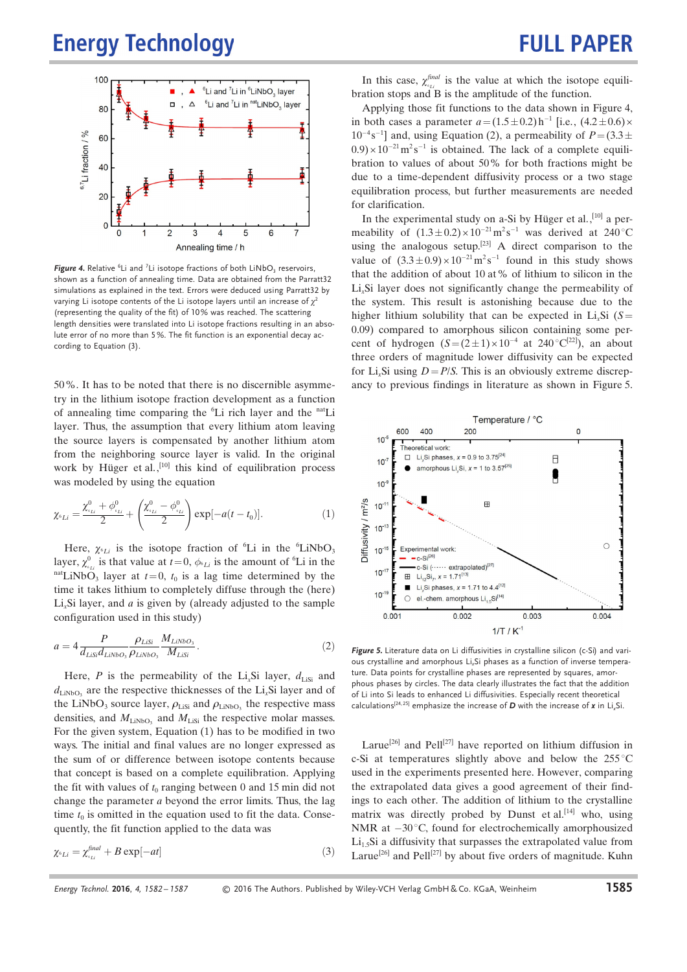## **FULL PAPER**



**Figure 4.** Relative  ${}^{6}$ Li and <sup>7</sup>Li isotope fractions of both LiNbO<sub>3</sub> reservoirs, shown as a function of annealing time. Data are obtained from the Parratt32 simulations as explained in the text. Errors were deduced using Parratt32 by varying Li isotope contents of the Li isotope layers until an increase of  $\chi^2$ (representing the quality of the fit) of 10% was reached. The scattering length densities were translated into Li isotope fractions resulting in an absolute error of no more than 5%. The fit function is an exponential decay according to Equation (3).

50%. It has to be noted that there is no discernible asymmetry in the lithium isotope fraction development as a function of annealing time comparing the <sup>6</sup>Li rich layer and the <sup>nat</sup>Li layer. Thus, the assumption that every lithium atom leaving the source layers is compensated by another lithium atom from the neighboring source layer is valid. In the original work by Hüger et al.,<sup>[10]</sup> this kind of equilibration process was modeled by using the equation

$$
\chi_{\delta_{Li}} = \frac{\chi_{\delta_{Li}}^0 + \phi_{\delta_{Li}}^0}{2} + \left(\frac{\chi_{\delta_{Li}}^0 - \phi_{\delta_{Li}}^0}{2}\right) \exp[-a(t - t_0)].
$$
\n(1)

Here,  $\chi_{6Li}$  is the isotope fraction of <sup>6</sup>Li in the <sup>6</sup>LiNbO<sub>3</sub> layer,  $\chi^0_{\epsilon_{Li}}$  is that value at  $t=0$ ,  $\phi_{\epsilon_{Li}}$  is the amount of <sup>6</sup>Li in the  $n^{\text{nat}}$ LiNbO<sub>3</sub> layer at  $t=0$ ,  $t_0$  is a lag time determined by the time it takes lithium to completely diffuse through the (here) Li.Si layer, and  $\alpha$  is given by (already adjusted to the sample configuration used in this study)

$$
a = 4 \frac{P}{d_{Lisi}d_{LiNbO_3}} \frac{\rho_{LiSi}}{\rho_{LiNbO_3}} \frac{M_{LiNbO_3}}{M_{LiSi}}.
$$
 (2)

Here, P is the permeability of the Li<sub>x</sub>Si layer,  $d_{\text{Lisi}}$  and  $d_{\text{LiNbO}_3}$  are the respective thicknesses of the Li<sub>x</sub>Si layer and of the LiNbO<sub>3</sub> source layer,  $\rho_{\text{Lisi}}$  and  $\rho_{\text{LiNbO}_3}$  the respective mass densities, and  $M_{\text{LiNbO}_3}$  and  $M_{\text{LiSi}}$  the respective molar masses. For the given system, Equation (1) has to be modified in two ways. The initial and final values are no longer expressed as the sum of or difference between isotope contents because that concept is based on a complete equilibration. Applying the fit with values of  $t_0$  ranging between 0 and 15 min did not change the parameter a beyond the error limits. Thus, the lag time  $t_0$  is omitted in the equation used to fit the data. Consequently, the fit function applied to the data was

$$
\chi_{\delta_{Li}} = \chi_{\delta_{Li}}^{\text{final}} + B \exp[-at] \tag{3}
$$

In this case,  $\chi_{\scriptscriptstyle{51}}^{\scriptscriptstyle{final}}$  is the value at which the isotope equilibration stops and B is the amplitude of the function.

Applying those fit functions to the data shown in Figure 4, in both cases a parameter  $a = (1.5 \pm 0.2) \,\text{h}^{-1}$  [i.e.,  $(4.2 \pm 0.6) \times$  $10^{-4}$ s<sup>-1</sup>] and, using Equation (2), a permeability of  $P = (3.3 \pm 1.00)$  $(0.9) \times 10^{-21}$  m<sup>2</sup>s<sup>-1</sup> is obtained. The lack of a complete equilibration to values of about 50% for both fractions might be due to a time-dependent diffusivity process or a two stage equilibration process, but further measurements are needed for clarification.

In the experimental study on a-Si by Hüger et al.,<sup>[10]</sup> a permeability of  $(1.3 \pm 0.2) \times 10^{-21} \text{ m}^2 \text{s}^{-1}$  was derived at 240 °C using the analogous setup.<sup>[23]</sup> A direct comparison to the value of  $(3.3 \pm 0.9) \times 10^{-21} \text{ m}^2 \text{s}^{-1}$  found in this study shows that the addition of about 10 at% of lithium to silicon in the Li<sub>x</sub>Si layer does not significantly change the permeability of the system. This result is astonishing because due to the higher lithium solubility that can be expected in  $Li<sub>x</sub>Si$  (S= 0.09) compared to amorphous silicon containing some percent of hydrogen  $(S = (2 \pm 1) \times 10^{-4}$  at 240 °C<sup>[22]</sup>), an about three orders of magnitude lower diffusivity can be expected for Li<sub>x</sub>Si using  $D = P/S$ . This is an obviously extreme discrepancy to previous findings in literature as shown in Figure 5.



Figure 5. Literature data on Li diffusivities in crystalline silicon (c-Si) and various crystalline and amorphous Li<sub>x</sub>Si phases as a function of inverse temperature. Data points for crystalline phases are represented by squares, amorphous phases by circles. The data clearly illustrates the fact that the addition of Li into Si leads to enhanced Li diffusivities. Especially recent theoretical calculations<sup>[24, 25]</sup> emphasize the increase of **D** with the increase of **x** in Li<sub>n</sub>Si.

Larue<sup>[26]</sup> and Pell<sup>[27]</sup> have reported on lithium diffusion in c-Si at temperatures slightly above and below the  $255^{\circ}$ C used in the experiments presented here. However, comparing the extrapolated data gives a good agreement of their findings to each other. The addition of lithium to the crystalline matrix was directly probed by Dunst et al.<sup>[14]</sup> who, using NMR at  $-30^{\circ}$ C, found for electrochemically amorphousized  $Li<sub>15</sub>Si$  a diffusivity that surpasses the extrapolated value from Larue<sup>[26]</sup> and Pell<sup>[27]</sup> by about five orders of magnitude. Kuhn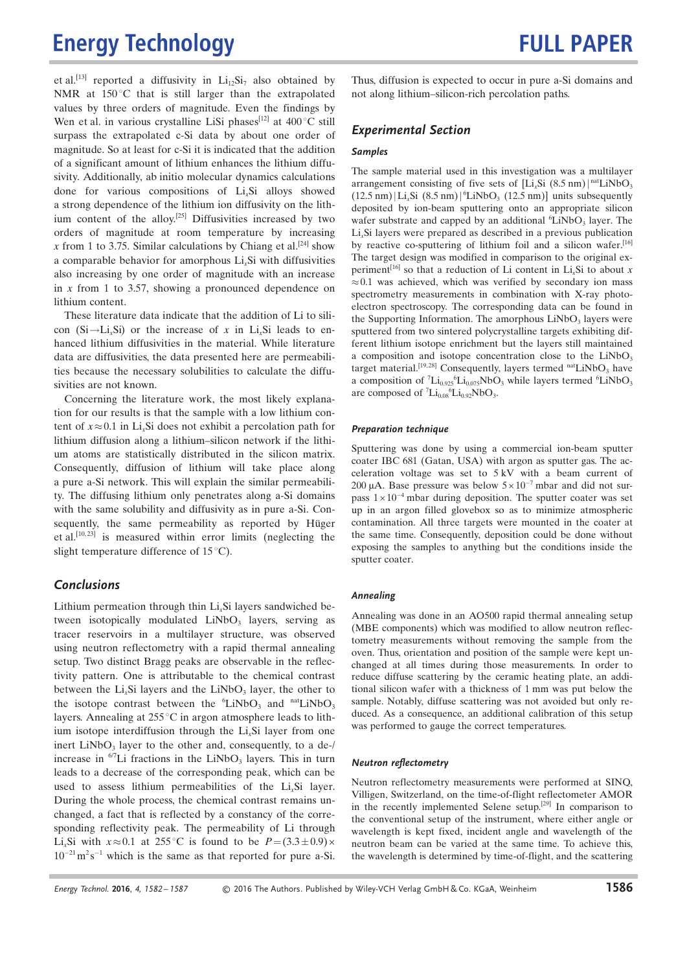et al.<sup>[13]</sup> reported a diffusivity in  $Li<sub>12</sub>Si<sub>7</sub>$  also obtained by NMR at  $150^{\circ}$ C that is still larger than the extrapolated values by three orders of magnitude. Even the findings by Wen et al. in various crystalline LiSi phases<sup>[12]</sup> at  $400^{\circ}$ C still surpass the extrapolated c-Si data by about one order of magnitude. So at least for c-Si it is indicated that the addition of a significant amount of lithium enhances the lithium diffusivity. Additionally, ab initio molecular dynamics calculations done for various compositions of  $Li<sub>x</sub>Si$  alloys showed a strong dependence of the lithium ion diffusivity on the lithium content of the alloy.<sup>[25]</sup> Diffusivities increased by two orders of magnitude at room temperature by increasing x from 1 to 3.75. Similar calculations by Chiang et al.<sup>[24]</sup> show a comparable behavior for amorphous  $Li<sub>x</sub>Si$  with diffusivities also increasing by one order of magnitude with an increase in x from 1 to 3.57, showing a pronounced dependence on lithium content.

These literature data indicate that the addition of Li to silicon  $(Si \rightarrow Li_xSi)$  or the increase of x in Li<sub>x</sub>Si leads to enhanced lithium diffusivities in the material. While literature data are diffusivities, the data presented here are permeabilities because the necessary solubilities to calculate the diffusivities are not known.

Concerning the literature work, the most likely explanation for our results is that the sample with a low lithium content of  $x \approx 0.1$  in Li<sub>x</sub>Si does not exhibit a percolation path for lithium diffusion along a lithium–silicon network if the lithium atoms are statistically distributed in the silicon matrix. Consequently, diffusion of lithium will take place along a pure a-Si network. This will explain the similar permeability. The diffusing lithium only penetrates along a-Si domains with the same solubility and diffusivity as in pure a-Si. Consequently, the same permeability as reported by Hüger et al.[10, 23] is measured within error limits (neglecting the slight temperature difference of  $15^{\circ}$ C).

### **Conclusions**

Lithium permeation through thin  $Li<sub>x</sub>Si$  layers sandwiched between isotopically modulated LiNbO<sub>3</sub> layers, serving as tracer reservoirs in a multilayer structure, was observed using neutron reflectometry with a rapid thermal annealing setup. Two distinct Bragg peaks are observable in the reflectivity pattern. One is attributable to the chemical contrast between the  $Li<sub>x</sub>Si$  layers and the  $LiNbO<sub>3</sub>$  layer, the other to the isotope contrast between the  ${}^{6}$ LiNbO<sub>3</sub> and  ${}^{nat}$ LiNbO<sub>3</sub> layers. Annealing at  $255^{\circ}$ C in argon atmosphere leads to lithium isotope interdiffusion through the  $Li<sub>x</sub>Si$  layer from one inert  $LiNbO<sub>3</sub>$  layer to the other and, consequently, to a de-/ increase in  $^{67}$ Li fractions in the LiNbO<sub>3</sub> layers. This in turn leads to a decrease of the corresponding peak, which can be used to assess lithium permeabilities of the  $Li<sub>x</sub>Si$  layer. During the whole process, the chemical contrast remains unchanged, a fact that is reflected by a constancy of the corresponding reflectivity peak. The permeability of Li through Li<sub>x</sub>Si with  $x \approx 0.1$  at 255 °C is found to be  $P = (3.3 \pm 0.9) \times$  $10^{-21}$  m<sup>2</sup>s<sup>-1</sup> which is the same as that reported for pure a-Si.

Thus, diffusion is expected to occur in pure a-Si domains and not along lithium–silicon-rich percolation paths.

### Experimental Section

### Samples

The sample material used in this investigation was a multilayer arrangement consisting of five sets of  $[Li_xSi (8.5 nm)]^{nat}LiNbO_3$  $(12.5 \text{ nm})$  Li<sub>x</sub>Si  $(8.5 \text{ nm})$  <sup>6</sup>LiNbO<sub>3</sub>  $(12.5 \text{ nm})$ ] units subsequently deposited by ion-beam sputtering onto an appropriate silicon wafer substrate and capped by an additional  ${}^{6}$ LiNbO<sub>3</sub> layer. The  $Li<sub>x</sub>Si$  layers were prepared as described in a previous publication by reactive co-sputtering of lithium foil and a silicon wafer.[16] The target design was modified in comparison to the original experiment<sup>[16]</sup> so that a reduction of Li content in Li<sub>x</sub>Si to about x  $\approx 0.1$  was achieved, which was verified by secondary ion mass spectrometry measurements in combination with X-ray photoelectron spectroscopy. The corresponding data can be found in the Supporting Information. The amorphous  $LiNbO<sub>3</sub>$  layers were sputtered from two sintered polycrystalline targets exhibiting different lithium isotope enrichment but the layers still maintained a composition and isotope concentration close to the  $LiNbO<sub>3</sub>$ target material.<sup>[19,28]</sup> Consequently, layers termed  $n$ atLiNbO<sub>3</sub> have a composition of  ${}^{7}Li_{0.925}{}^{6}Li_{0.075}NbO_3$  while layers termed  ${}^{6}LiNbO_3$ are composed of  ${}^{7}Li_{0.08}{}^{6}Li_{0.92}NbO_3$ .

#### Preparation technique

Sputtering was done by using a commercial ion-beam sputter coater IBC 681 (Gatan, USA) with argon as sputter gas. The acceleration voltage was set to 5 kV with a beam current of 200 µA. Base pressure was below  $5 \times 10^{-7}$  mbar and did not surpass  $1 \times 10^{-4}$  mbar during deposition. The sputter coater was set up in an argon filled glovebox so as to minimize atmospheric contamination. All three targets were mounted in the coater at the same time. Consequently, deposition could be done without exposing the samples to anything but the conditions inside the sputter coater.

#### Annealing

Annealing was done in an AO500 rapid thermal annealing setup (MBE components) which was modified to allow neutron reflectometry measurements without removing the sample from the oven. Thus, orientation and position of the sample were kept unchanged at all times during those measurements. In order to reduce diffuse scattering by the ceramic heating plate, an additional silicon wafer with a thickness of 1 mm was put below the sample. Notably, diffuse scattering was not avoided but only reduced. As a consequence, an additional calibration of this setup was performed to gauge the correct temperatures.

#### Neutron reflectometry

Neutron reflectometry measurements were performed at SINQ, Villigen, Switzerland, on the time-of-flight reflectometer AMOR in the recently implemented Selene setup.<sup>[29]</sup> In comparison to the conventional setup of the instrument, where either angle or wavelength is kept fixed, incident angle and wavelength of the neutron beam can be varied at the same time. To achieve this, the wavelength is determined by time-of-flight, and the scattering